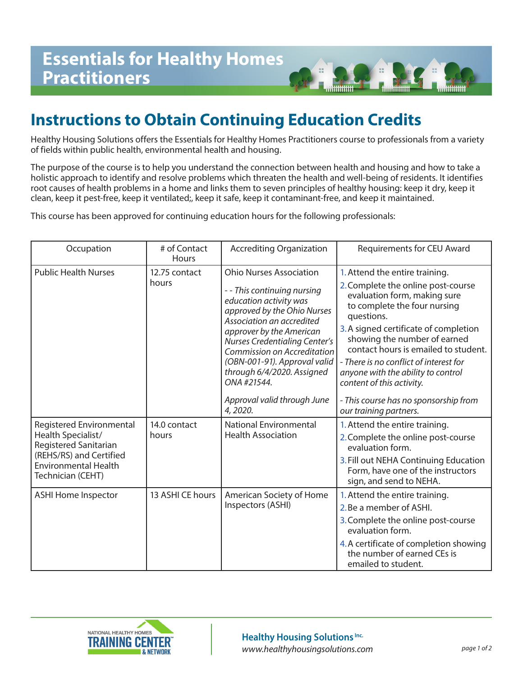## **Instructions to Obtain Continuing Education Credits**

Healthy Housing Solutions offers the Essentials for Healthy Homes Practitioners course to professionals from a variety of fields within public health, environmental health and housing.

minn

The purpose of the course is to help you understand the connection between health and housing and how to take a holistic approach to identify and resolve problems which threaten the health and well-being of residents. It identifies root causes of health problems in a home and links them to seven principles of healthy housing: keep it dry, keep it clean, keep it pest-free, keep it ventilated;, keep it safe, keep it contaminant-free, and keep it maintained.

This course has been approved for continuing education hours for the following professionals:

| Occupation                                                                                                                                             | # of Contact<br>Hours  | <b>Accrediting Organization</b>                                                                                                                                                                                                                                                                                                                                  | Requirements for CEU Award                                                                                                                                                                                                                                                                                                                                                                                                |
|--------------------------------------------------------------------------------------------------------------------------------------------------------|------------------------|------------------------------------------------------------------------------------------------------------------------------------------------------------------------------------------------------------------------------------------------------------------------------------------------------------------------------------------------------------------|---------------------------------------------------------------------------------------------------------------------------------------------------------------------------------------------------------------------------------------------------------------------------------------------------------------------------------------------------------------------------------------------------------------------------|
| <b>Public Health Nurses</b>                                                                                                                            | 12.75 contact<br>hours | <b>Ohio Nurses Association</b><br>--This continuing nursing<br>education activity was<br>approved by the Ohio Nurses<br>Association an accredited<br>approver by the American<br><b>Nurses Credentialing Center's</b><br>Commission on Accreditation<br>(OBN-001-91). Approval valid<br>through 6/4/2020. Assigned<br>ONA #21544.<br>Approval valid through June | 1. Attend the entire training.<br>2. Complete the online post-course<br>evaluation form, making sure<br>to complete the four nursing<br>questions.<br>3. A signed certificate of completion<br>showing the number of earned<br>contact hours is emailed to student.<br>- There is no conflict of interest for<br>anyone with the ability to control<br>content of this activity.<br>- This course has no sponsorship from |
| Registered Environmental<br>Health Specialist/<br>Registered Sanitarian<br>(REHS/RS) and Certified<br><b>Environmental Health</b><br>Technician (CEHT) | 14.0 contact<br>hours  | 4,2020.<br><b>National Environmental</b><br><b>Health Association</b>                                                                                                                                                                                                                                                                                            | our training partners.<br>1. Attend the entire training.<br>2. Complete the online post-course<br>evaluation form.<br>3. Fill out NEHA Continuing Education<br>Form, have one of the instructors<br>sign, and send to NEHA.                                                                                                                                                                                               |
| <b>ASHI Home Inspector</b>                                                                                                                             | 13 ASHI CE hours       | American Society of Home<br>Inspectors (ASHI)                                                                                                                                                                                                                                                                                                                    | 1. Attend the entire training.<br>2. Be a member of ASHI.<br>3. Complete the online post-course<br>evaluation form.<br>4. A certificate of completion showing<br>the number of earned CEs is<br>emailed to student.                                                                                                                                                                                                       |